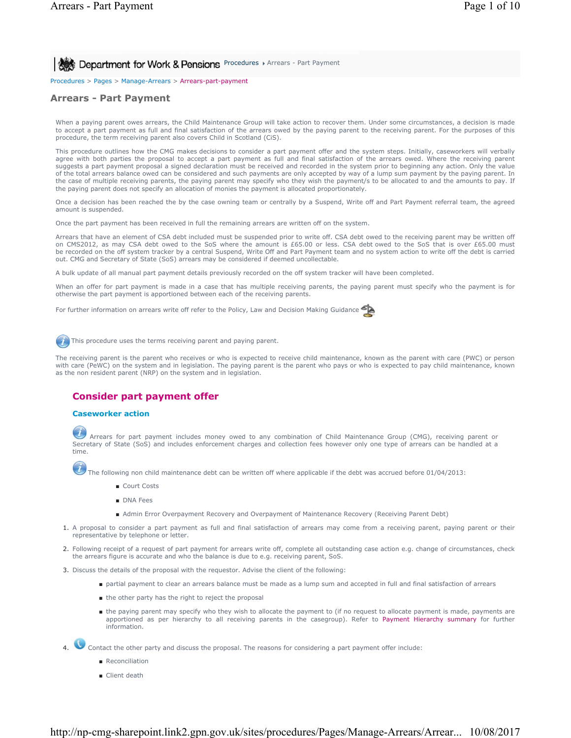**Procedures > Arrears - Part Payment for Work & Pensions** Procedures > Arrears - Part Payment

Procedures > Pages > Manage-Arrears > Arrears-part-payment

# **Arrears - Part Payment**

When a paying parent owes arrears, the Child Maintenance Group will take action to recover them. Under some circumstances, a decision is made to accept a part payment as full and final satisfaction of the arrears owed by the paying parent to the receiving parent. For the purposes of this procedure, the term receiving parent also covers Child in Scotland (CiS).

This procedure outlines how the CMG makes decisions to consider a part payment offer and the system steps. Initially, caseworkers will verbally agree with both parties the proposal to accept a part payment as full and final satisfaction of the arrears owed. Where the receiving parent suggests a part payment proposal a signed declaration must be received and recorded in the system prior to beginning any action. Only the value of the total arrears balance owed can be considered and such payments are only accepted by way of a lump sum payment by the paying parent. In the case of multiple receiving parents, the paying parent may specify who they wish the payment/s to be allocated to and the amounts to pay. If the paying parent does not specify an allocation of monies the payment is allocated proportionately.

Once a decision has been reached the by the case owning team or centrally by a Suspend, Write off and Part Payment referral team, the agreed amount is suspended.

Once the part payment has been received in full the remaining arrears are written off on the system.

Arrears that have an element of CSA debt included must be suspended prior to write off. CSA debt owed to the receiving parent may be written off on CMS2012, as may CSA debt owed to the SoS where the amount is £65.00 or less. CSA debt owed to the SoS that is over £65.00 must be recorded on the off system tracker by a central Suspend, Write Off and Part Payment team and no system action to write off the debt is carried out. CMG and Secretary of State (SoS) arrears may be considered if deemed uncollectable.

A bulk update of all manual part payment details previously recorded on the off system tracker will have been completed.

When an offer for part payment is made in a case that has multiple receiving parents, the paying parent must specify who the payment is for otherwise the part payment is apportioned between each of the receiving parents.

For further information on arrears write off refer to the Policy, Law and Decision Making Guidance



This procedure uses the terms receiving parent and paying parent.

The receiving parent is the parent who receives or who is expected to receive child maintenance, known as the parent with care (PWC) or person with care (PeWC) on the system and in legislation. The paying parent is the parent who pays or who is expected to pay child maintenance, known as the non resident parent (NRP) on the system and in legislation.

# **Consider part payment offer**

### **Caseworker action**

Arrears for part payment includes money owed to any combination of Child Maintenance Group (CMG), receiving parent or Secretary of State (SoS) and includes enforcement charges and collection fees however only one type of arrears can be handled at a time.

The following non child maintenance debt can be written off where applicable if the debt was accrued before 01/04/2013:

- Court Costs
- DNA Fees
- Admin Error Overpayment Recovery and Overpayment of Maintenance Recovery (Receiving Parent Debt)
- 1. A proposal to consider a part payment as full and final satisfaction of arrears may come from a receiving parent, paying parent or their representative by telephone or letter.
- Following receipt of a request of part payment for arrears write off, complete all outstanding case action e.g. change of circumstances, check 2. the arrears figure is accurate and who the balance is due to e.g. receiving parent, SoS.
- 3. Discuss the details of the proposal with the requestor. Advise the client of the following:
	- partial payment to clear an arrears balance must be made as a lump sum and accepted in full and final satisfaction of arrears
	- the other party has the right to reject the proposal
	- the paying parent may specify who they wish to allocate the payment to (if no request to allocate payment is made, payments are apportioned as per hierarchy to all receiving parents in the casegroup). Refer to Payment Hierarchy summary for further information.

4. Contact the other party and discuss the proposal. The reasons for considering a part payment offer include:

- Reconciliation
- Client death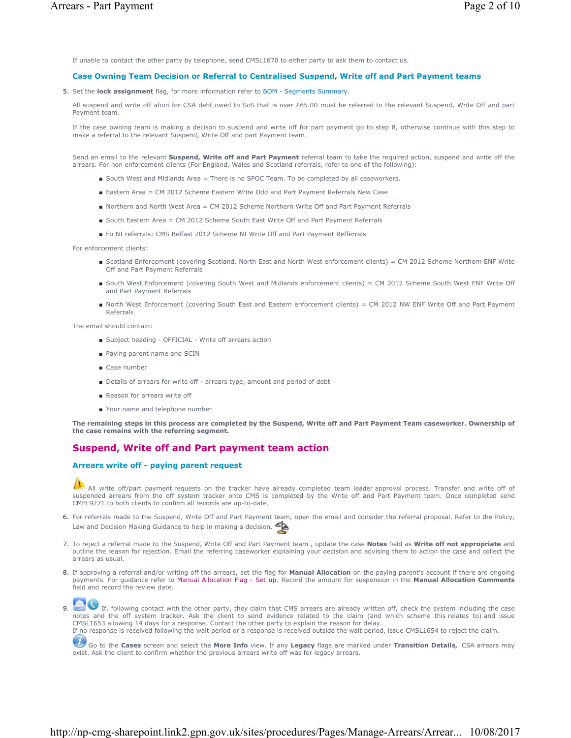If unable to contact the other party by telephone, send CMSL1670 to either party to ask them to contact us.

#### **Case Owning Team Decision or Referral to Centralised Suspend, Write off and Part Payment teams**

5. Set the **lock assignment** flag, for more information refer to BOM - Segments Summary.

All suspend and write off ation for CSA debt owed to SoS that is over £65.00 must be referred to the relevant Suspend, Write Off and part Payment team.

If the case owning team is making a decison to suspend and write off for part payment go to step 8, otherwise continue with this step to make a referral to the relevant Suspend, Write Off and part Payment team.

Send an email to the relevant **Suspend, Write off and Part Payment** referral team to take the required action, suspend and write off the arrears. For non enforcement clients (For England, Wales and Scotland referrals, refer to one of the following):

- South West and Midlands Area = There is no SPOC Team. To be completed by all caseworkers.
- Eastern Area = CM 2012 Scheme Eastern Write Odd and Part Payment Referrals New Case
- Northern and North West Area = CM 2012 Scheme Northern Write Off and Part Payment Referrals
- South Eastern Area = CM 2012 Scheme South East Write Off and Part Payment Referrals
- Fo NI referrals: CMS Belfast 2012 Scheme NI Write Off and Part Payment Refferrals

For enforcement clients:

- Scotland Enforcement (covering Scotland, North East and North West enforcement clients) = CM 2012 Scheme Northern ENF Write Off and Part Payment Referrals
- South West Enforcement (covering South West and Midlands enforcement clients) = CM 2012 Scheme South West ENF Write Off and Part Payment Referrals
- North West Enforcement (covering South East and Eastern enforcement clients) = CM 2012 NW ENF Write Off and Part Payment Referrals

The email should contain:

- Subject heading OFFICIAL Write off arrears action
- Paying parent name and SCIN
- Case number
- Details of arrears for write off arrears type, amount and period of debt
- Reason for arrears write off
- Your name and telephone number

**The remaining steps in this process are completed by the Suspend, Write off and Part Payment Team caseworker. Ownership of the case remains with the referring segment.**

## **Suspend, Write off and Part payment team action**

### **Arrears write off - paying parent request**

All write off/part payment requests on the tracker have already completed team leader approval process. Transfer and write off of suspended arrears from the off system tracker onto CMS is completed by the Write off and Part Payment team. Once completed send CMEL9271 to both clients to confirm all records are up-to-date.

- 6. For referrals made to the Suspend, Write Off and Part Payment team, open the email and consider the referral proposal. Refer to the Policy, Law and Decision Making Guidance to help in making a decision.
- To reject a referral made to the Suspend, Write Off and Part Payment team , update the case **Notes** field as **Write off not appropriate** and 7. outline the reason for rejection. Email the referring caseworker explaining your decision and advising them to action the case and collect the arrears as usual.
- If approving a referral and/or writing off the arrears, set the flag for **Manual Allocation** on the paying parent's account if there are ongoing 8. payments. For guidance refer to Manual Allocation Flag - Set up. Record the amount for suspension in the **Manual Allocation Comments** field and record the review date.

9. If, following contact with the other party, they claim that CMS arrears are already written off, check the system including the case<br>notes and the off system tracker. Ask the client to send evidence related to the claim CMSL1653 allowing 14 days for a response. Contact the other party to explain the reason for delay. If no response is received following the wait period or a response is received outside the wait period, issue CMSL1654 to reject the claim.

Go to the **Cases** screen and select the **More Info** view. If any **Legacy** flags are marked under **Transition Details,** CSA arrears may exist. Ask the client to confirm whether the previous arrears write off was for legacy arrears.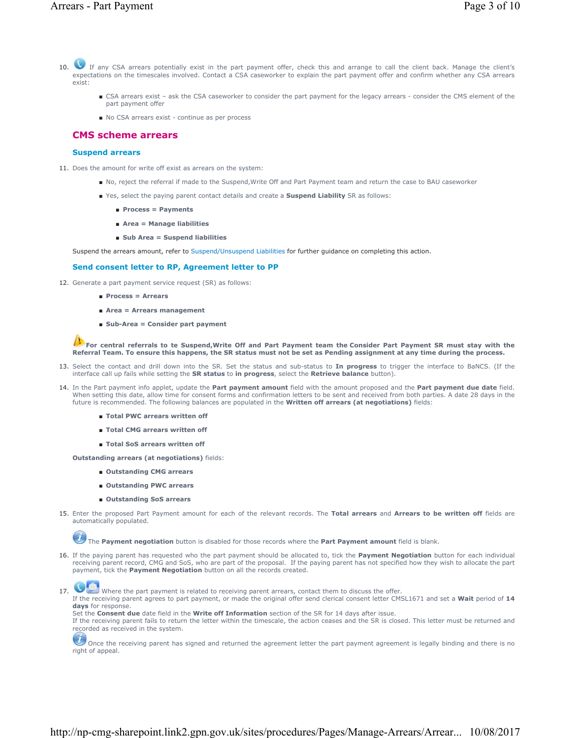- v  $10<sup>-1</sup>$ If any CSA arrears potentially exist in the part payment offer, check this and arrange to call the client back. Manage the client's expectations on the timescales involved. Contact a CSA caseworker to explain the part payment offer and confirm whether any CSA arrears exist:
	- CSA arrears exist ask the CSA caseworker to consider the part payment for the legacy arrears consider the CMS element of the part payment offer
	- No CSA arrears exist continue as per process

### **CMS scheme arrears**

## **Suspend arrears**

- 11. Does the amount for write off exist as arrears on the system:
	- No, reject the referral if made to the Suspend,Write Off and Part Payment team and return the case to BAU caseworker
		- Yes, select the paying parent contact details and create a **Suspend Liability** SR as follows:
			- **Process = Payments**
			- **Area = Manage liabilities**
			- **Sub Area = Suspend liabilities**

Suspend the arrears amount, refer to Suspend/Unsuspend Liabilities for further guidance on completing this action.

### **Send consent letter to RP, Agreement letter to PP**

- 12. Generate a part payment service request (SR) as follows:
	- **Process = Arrears**
	- **Area = Arrears management**
	- **Sub-Area = Consider part payment**

**For central referrals to te Suspend, Write Off and Part Payment team the Consider Part Payment SR must stay with the Referral Team. To ensure this happens, the SR status must not be set as Pending assignment at any time during the process.** 

- 13. Select the contact and drill down into the SR. Set the status and sub-status to In progress to trigger the interface to BaNCS. (If the interface call up fails while setting the **SR status** to **in progress**, select the **Retrieve balance** button).
- 14. In the Part payment info applet, update the **Part payment amount** field with the amount proposed and the **Part payment due date** field. When setting this date, allow time for consent forms and confirmation letters to be sent and received from both parties. A date 28 days in the future is recommended. The following balances are populated in the **Written off arrears (at negotiations)** fields:
	- **Total PWC arrears written off**
	- **Total CMG** arrears written off
	- **Total SoS arrears written off**
	- **Outstanding arrears (at negotiations)** fields:
		- **Outstanding CMG arrears**
		- **Outstanding PWC arrears**
		- **Outstanding SoS arrears**
- 15. Enter the proposed Part Payment amount for each of the relevant records. The Total arrears and Arrears to be written off fields are automatically populated.

The **Payment negotiation** button is disabled for those records where the **Part Payment amount** field is blank.

If the paying parent has requested who the part payment should be allocated to, tick the **Payment Negotiation** button for each individual 16. receiving parent record, CMG and SoS, who are part of the proposal. If the paying parent has not specified how they wish to allocate the part payment, tick the **Payment Negotiation** button on all the records created.

17. Where the part payment is related to receiving parent arrears, contact them to discuss the offer. If the receiving parent agrees to part payment, or made the original offer send clerical consent letter CMSL1671 and set a **Wait** period of **14 days** for response.

Set the **Consent due** date field in the **Write off Information** section of the SR for 14 days after issue.

If the receiving parent fails to return the letter within the timescale, the action ceases and the SR is closed. This letter must be returned and recorded as received in the system.

Once the receiving parent has signed and returned the agreement letter the part payment agreement is legally binding and there is no right of appeal.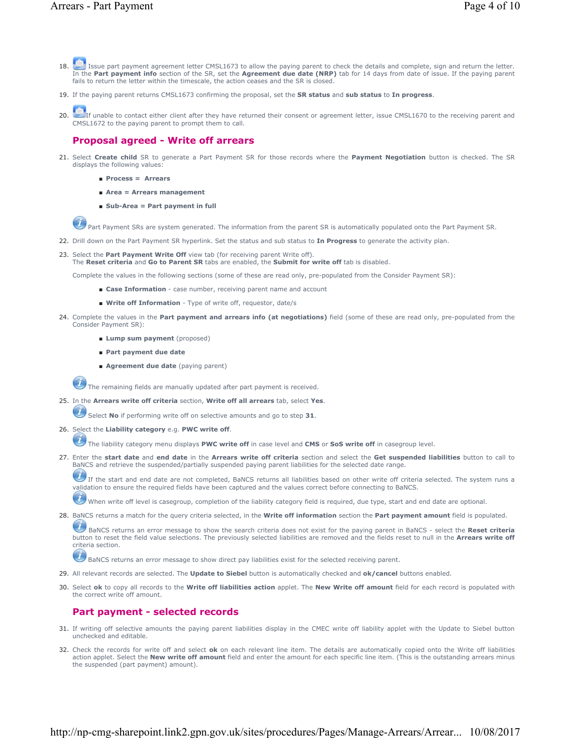- Issue part payment agreement letter CMSL1673 to allow the paying parent to check the details and complete, sign and return the letter. In the **Part payment info** section of the SR, set the **Agreement due date (NRP)** tab for 14 days from date of issue. If the paying parent fails to return the letter within the timescale, the action ceases and the SR is closed. 18.
- 19. If the paying parent returns CMSL1673 confirming the proposal, set the **SR status** and **sub status** to **In progress**.
- If unable to contact either client after they have returned their consent or agreement letter, issue CMSL1670 to the receiving parent and CMSL1672 to the paying parent to prompt them to call. 20.

# **Proposal agreed - Write off arrears**

- 21. Select Create child SR to generate a Part Payment SR for those records where the Payment Negotiation button is checked. The SR displays the following values:
	- **Process = Arrears**
	- **Area = Arrears management**
	- **Sub-Area = Part payment in full**

Part Payment SRs are system generated. The information from the parent SR is automatically populated onto the Part Payment SR.

22. Drill down on the Part Payment SR hyperlink. Set the status and sub status to **In Progress** to generate the activity plan.

Select the **Part Payment Write Off** view tab (for receiving parent Write off). The **Reset criteria** and **Go to Parent SR** tabs are enabled, the **Submit for write off** tab is disabled. 23.

Complete the values in the following sections (some of these are read only, pre-populated from the Consider Payment SR):

- **Case Information** case number, receiving parent name and account
- Write off Information Type of write off, requestor, date/s
- 24. Complete the values in the Part payment and arrears info (at negotiations) field (some of these are read only, pre-populated from the Consider Payment SR):
	- **Lump sum payment** (proposed)
	- **Part payment due date**
	- **Agreement due date** (paying parent)

The remaining fields are manually updated after part payment is received.

25. In the Arrears write off criteria section, Write off all arrears tab, select Yes.

Select **No** if performing write off on selective amounts and go to step **31**.

- 26. Select the Liability category e.g. PWC write off.
	- The liability category menu displays **PWC write off** in case level and **CMS** or **SoS write off** in casegroup level.
- Enter the **start date** and **end date** in the **Arrears write off criteria** section and select the **Get suspended liabilities** button to call to 27. BaNCS and retrieve the suspended/partially suspended paying parent liabilities for the selected date range.

If the start and end date are not completed, BaNCS returns all liabilities based on other write off criteria selected. The system runs a validation to ensure the required fields have been captured and the values correct before connecting to BaNCS.

When write off level is casegroup, completion of the liability category field is required, due type, start and end date are optional.

28. BaNCS returns a match for the query criteria selected, in the **Write off information** section the Part payment amount field is populated.

BaNCS returns an error message to show the search criteria does not exist for the paying parent in BaNCS - select the **Reset criteria** button to reset the field value selections. The previously selected liabilities are removed and the fields reset to null in the **Arrears write off** criteria section.

BaNCS returns an error message to show direct pay liabilities exist for the selected receiving parent.

- 29. All relevant records are selected. The **Update to Siebel** button is automatically checked and **ok/cancel** buttons enabled.
- Select **ok** to copy all records to the **Write off liabilities action** applet. The **New Write off amount** field for each record is populated with 30. the correct write off amount.

# **Part payment - selected records**

- 31. If writing off selective amounts the paying parent liabilities display in the CMEC write off liability applet with the Update to Siebel button unchecked and editable.
- 32. Check the records for write off and select **ok** on each relevant line item. The details are automatically copied onto the Write off liabilities action applet. Select the **New write off amount** field and enter the amount for each specific line item. (This is the outstanding arrears minus the suspended (part payment) amount).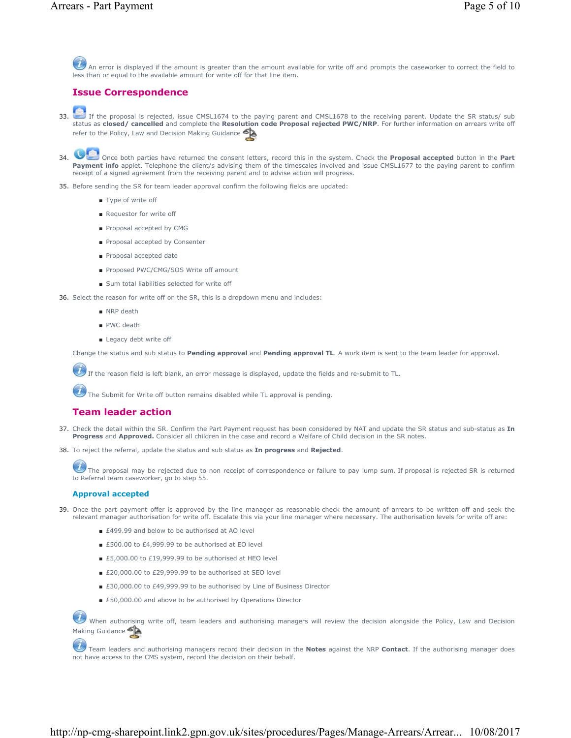An error is displayed if the amount is greater than the amount available for write off and prompts the caseworker to correct the field to less than or equal to the available amount for write off for that line item.

## **Issue Correspondence**

If the proposal is rejected, issue CMSL1674 to the paying parent and CMSL1678 to the receiving parent. Update the SR status/ sub<br>status as **closed/ cancelled** and complete the **Resolution code Proposal rejected PWC/NRP**. F refer to the Policy, Law and Decision Making Guidance 33.

# 34.

Once both parties have returned the consent letters, record this in the system. Check the **Proposal accepted** button in the **Part** Payment info applet. Telephone the client/s advising them of the timescales involved and issue CMSL1677 to the paying parent to confirm receipt of a signed agreement from the receiving parent and to advise action will progress.

- 35. Before sending the SR for team leader approval confirm the following fields are updated:
	- Type of write off
	- Requestor for write off
	- Proposal accepted by CMG
	- Proposal accepted by Consenter
	- Proposal accepted date
	- Proposed PWC/CMG/SOS Write off amount
	- Sum total liabilities selected for write off

36. Select the reason for write off on the SR, this is a dropdown menu and includes:

- NRP death
- PWC death
- Legacy debt write off

Change the status and sub status to **Pending approval** and **Pending approval TL**. A work item is sent to the team leader for approval.

If the reason field is left blank, an error message is displayed, update the fields and re-submit to TL.

The Submit for Write off button remains disabled while TL approval is pending.

## **Team leader action**

- 37. Check the detail within the SR. Confirm the Part Payment request has been considered by NAT and update the SR status and sub-status as In **Progress** and **Approved.** Consider all children in the case and record a Welfare of Child decision in the SR notes.
- 38. To reject the referral, update the status and sub status as **In progress** and **Rejected**.

The proposal may be rejected due to non receipt of correspondence or failure to pay lump sum. If proposal is rejected SR is returned to Referral team caseworker, go to step 55.

### **Approval accepted**

- 39. Once the part payment offer is approved by the line manager as reasonable check the amount of arrears to be written off and seek the relevant manager authorisation for write off. Escalate this via your line manager where necessary. The authorisation levels for write off are:
	- £499.99 and below to be authorised at AO level
	- £500.00 to £4,999.99 to be authorised at EO level
	- £5,000.00 to £19,999.99 to be authorised at HEO level
	- £20,000.00 to £29,999.99 to be authorised at SEO level
	- £30,000.00 to £49,999.99 to be authorised by Line of Business Director
	- £50,000.00 and above to be authorised by Operations Director

When authorising write off, team leaders and authorising managers will review the decision alongside the Policy, Law and Decision Making Guidance

Team leaders and authorising managers record their decision in the **Notes** against the NRP **Contact**. If the authorising manager does not have access to the CMS system, record the decision on their behalf.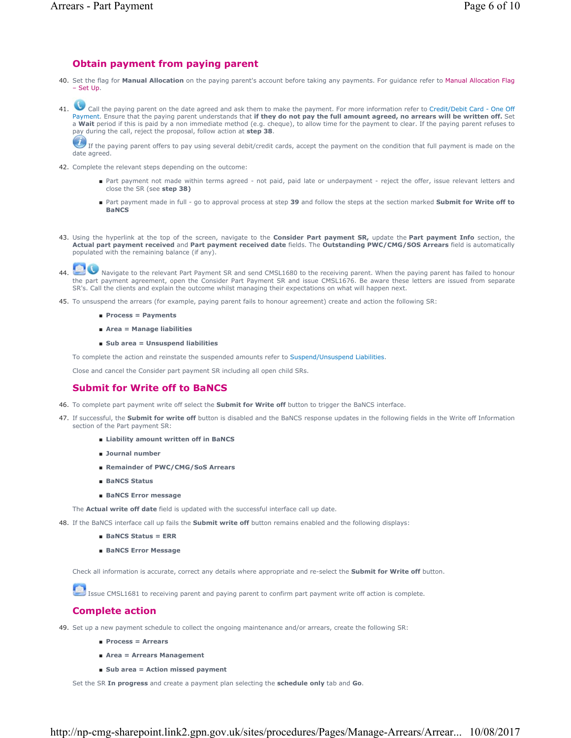# **Obtain payment from paying parent**

- 40. Set the flag for **Manual Allocation** on the paying parent's account before taking any payments. For guidance refer to Manual Allocation Flag – Set Up.
- 41. Call the paying parent on the date agreed and ask them to make the payment. For more information refer to Credit/Debit Card One Off Payment. Ensure that the paying parent understands that if they do not pay the full amount agreed, no arrears will be written off. Set a **Wait** period if this is paid by a non immediate method (e.g. cheque), to allow time for the payment to clear. If the paying parent refuses to pay during the call, reject the proposal, follow action at **step 38**.

If the paying parent offers to pay using several debit/credit cards, accept the payment on the condition that full payment is made on the date agreed.

- 42. Complete the relevant steps depending on the outcome:
	- Part payment not made within terms agreed not paid, paid late or underpayment reject the offer, issue relevant letters and close the SR (see **step 38)**
	- Part payment made in full go to approval process at step 39 and follow the steps at the section marked Submit for Write off to **BaNCS**
- 43. Using the hyperlink at the top of the screen, navigate to the **Consider Part payment SR**, update the **Part payment Info** section, the **Actual part payment received** and **Part payment received date** fields. The **Outstanding PWC/CMG/SOS Arrears** field is automatically populated with the remaining balance (if any).
- Navigate to the relevant Part Payment SR and send CMSL1680 to the receiving parent. When the paying parent has failed to honour the part payment agreement, open the Consider Part Payment SR and issue CMSL1676. Be aware these letters are issued from separate SR's. Call the clients and explain the outcome whilst managing their expectations on what will happen next. 44.
- 45. To unsuspend the arrears (for example, paying parent fails to honour agreement) create and action the following SR:
	- **Process = Payments**
	- **Area = Manage liabilities**
	- **Sub area = Unsuspend liabilities**

To complete the action and reinstate the suspended amounts refer to Suspend/Unsuspend Liabilities.

Close and cancel the Consider part payment SR including all open child SRs.

## **Submit for Write off to BaNCS**

- 46. To complete part payment write off select the **Submit for Write off** button to trigger the BaNCS interface.
- 47. If successful, the **Submit for write off** button is disabled and the BaNCS response updates in the following fields in the Write off Information section of the Part payment SR:
	- **Liability amount written off in BaNCS**
	- **Journal number**
	- **Remainder of PWC/CMG/SoS Arrears**
	- **BaNCS Status**
	- **BaNCS Error message**

The **Actual write off date** field is updated with the successful interface call up date.

48. If the BaNCS interface call up fails the **Submit write off** button remains enabled and the following displays:

- **BaNCS Status = ERR**
- **BaNCS Error Message**

Check all information is accurate, correct any details where appropriate and re-select the **Submit for Write off** button.

Issue CMSL1681 to receiving parent and paying parent to confirm part payment write off action is complete.

## **Complete action**

49. Set up a new payment schedule to collect the ongoing maintenance and/or arrears, create the following SR:

- **Process = Arrears**
- **Area = Arrears Management**
- **Sub area = Action missed payment**

Set the SR **In progress** and create a payment plan selecting the **schedule only** tab and **Go**.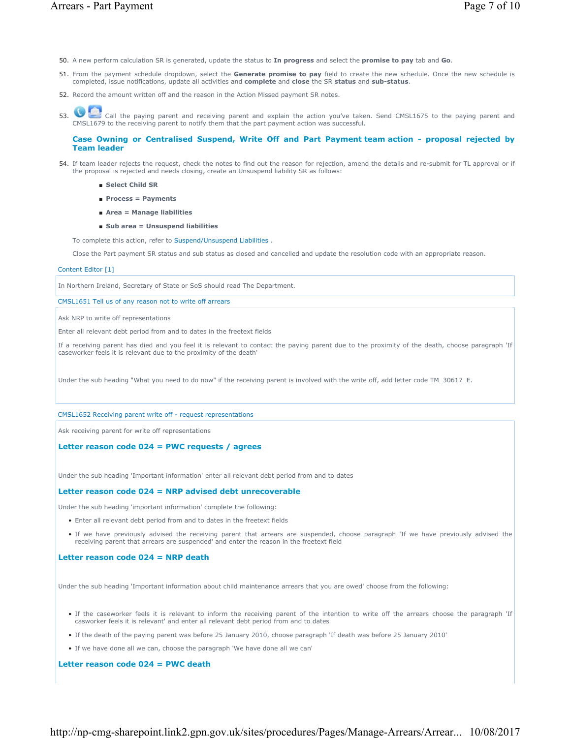- 50. A new perform calculation SR is generated, update the status to **In progress** and select the **promise to pay** tab and **Go**.
- 51. From the payment schedule dropdown, select the Generate promise to pay field to create the new schedule. Once the new schedule is completed, issue notifications, update all activities and **complete** and **close** the SR **status** and **sub-status**.
- 52. Record the amount written off and the reason in the Action Missed payment SR notes.
- 53. Call the paying parent and receiving parent and explain the action you've taken. Send CMSL1675 to the paying parent and CMSL1679 to the receiving parent to notify them that the part payment action was successful.

### **Case Owning or Centralised Suspend, Write Off and Part Payment team action - proposal rejected by Team leader**

- 54. If team leader rejects the request, check the notes to find out the reason for rejection, amend the details and re-submit for TL approval or if the proposal is rejected and needs closing, create an Unsuspend liability SR as follows:
	- **Select Child SR**
	- **Process = Payments**
	- **Area = Manage liabilities**
	- **Sub area = Unsuspend liabilities**

To complete this action, refer to Suspend/Unsuspend Liabilities .

Close the Part payment SR status and sub status as closed and cancelled and update the resolution code with an appropriate reason.

#### Content Editor [1]

In Northern Ireland, Secretary of State or SoS should read The Department.

CMSL1651 Tell us of any reason not to write off arrears

Ask NRP to write off representations

Enter all relevant debt period from and to dates in the freetext fields

If a receiving parent has died and you feel it is relevant to contact the paying parent due to the proximity of the death, choose paragraph 'If caseworker feels it is relevant due to the proximity of the death'

Under the sub heading "What you need to do now" if the receiving parent is involved with the write off, add letter code TM\_30617\_E.

### CMSL1652 Receiving parent write off - request representations

Ask receiving parent for write off representations

### **Letter reason code 024 = PWC requests / agrees**

Under the sub heading 'Important information' enter all relevant debt period from and to dates

### **Letter reason code 024 = NRP advised debt unrecoverable**

Under the sub heading 'important information' complete the following:

- Enter all relevant debt period from and to dates in the freetext fields
- If we have previously advised the receiving parent that arrears are suspended, choose paragraph 'If we have previously advised the receiving parent that arrears are suspended' and enter the reason in the freetext field

### **Letter reason code 024 = NRP death**

Under the sub heading 'Important information about child maintenance arrears that you are owed' choose from the following:

- If the caseworker feels it is relevant to inform the receiving parent of the intention to write off the arrears choose the paragraph 'If casworker feels it is relevant' and enter all relevant debt period from and to dates
- If the death of the paying parent was before 25 January 2010, choose paragraph 'If death was before 25 January 2010'
- If we have done all we can, choose the paragraph 'We have done all we can'

**Letter reason code 024 = PWC death**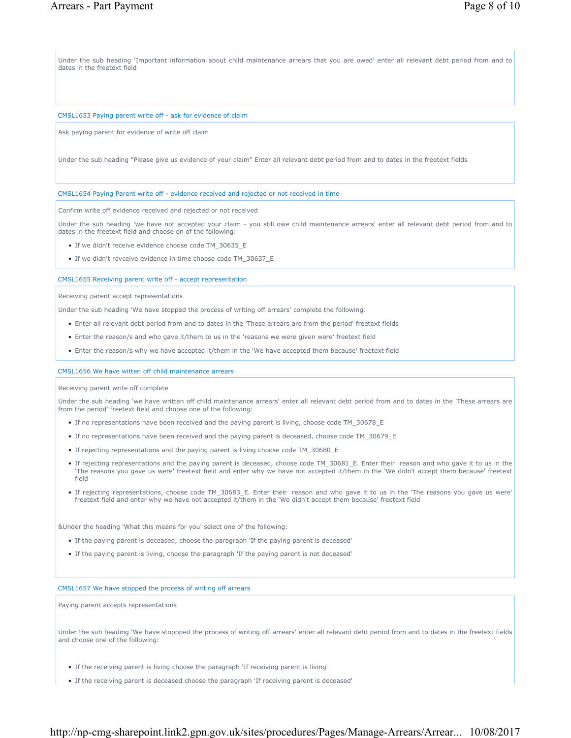Under the sub heading 'Important information about child maintenance arrears that you are owed' enter all relevant debt period from and to dates in the freetext field

#### CMSL1653 Paying parent write off - ask for evidence of claim

Ask paying parent for evidence of write off claim

Under the sub heading "Please give us evidence of your claim" Enter all relevant debt period from and to dates in the freetext fields

### CMSL1654 Paying Parent write off - evidence received and rejected or not received in time

Confirm write off evidence received and rejected or not received

Under the sub heading 'we have not accepted your claim - you still owe child maintenance arrears' enter all relevant debt period from and to dates in the freetext field and choose on of the following:

- If we didn't receive evidence choose code TM\_30635\_E
- If we didn't revceive evidence in time choose code TM\_30637\_E

#### CMSL1655 Receiving parent write off - accept representation

Receiving parent accept representations

Under the sub heading 'We have stopped the process of writing off arrears' complete the following:

- Enter all relevant debt period from and to dates in the 'These arrears are from the period' freetext fields
- Enter the reason/s and who gave it/them to us in the 'reasons we were given were' freetext field
- Enter the reason/s why we have accepted it/them in the 'We have accepted them because' freetext field

CMSL1656 We have witten off child maintenance arrears

#### Receiving parent write off complete

Under the sub heading 'we have written off child maintenance arrears' enter all relevant debt period from and to dates in the 'These arrears are from the period' freetext field and choose one of the following:

- If no representations have been received and the paying parent is living, choose code TM\_30678\_E
- If no representations have been received and the paying parent is deceased, choose code TM\_30679\_E
- If rejecting representations and the paying parent is living choose code TM\_30680\_E
- If rejecting representations and the paying parent is deceased, choose code TM\_30681\_E. Enter their reason and who gave it to us in the 'The reasons you gave us were' freetext field and enter why we have not accepted it/them in the 'We didn't accept them because' freetext field
- If rejecting representations, choose code TM\_30683\_E. Enter their reason and who gave it to us in the 'The reasons you gave us were' freetext field and enter why we have not accepted it/them in the 'We didn't accept them because' freetext field

&Under the heading 'What this means for you' select one of the following:

- If the paying parent is deceased, choose the paragraph 'If the paying parent is deceased'
- If the paying parent is living, choose the paragraph 'If the paying parent is not deceased'

### CMSL1657 We have stopped the process of writing off arrears

Paying parent accepts representations

Under the sub heading 'We have stoppped the process of writing off arrears' enter all relevant debt period from and to dates in the freetext fields and choose one of the following:

- If the receiving parent is living choose the paragraph 'If receiving parent is living'
- If the receiving parent is deceased choose the paragraph 'If receiving parent is deceased'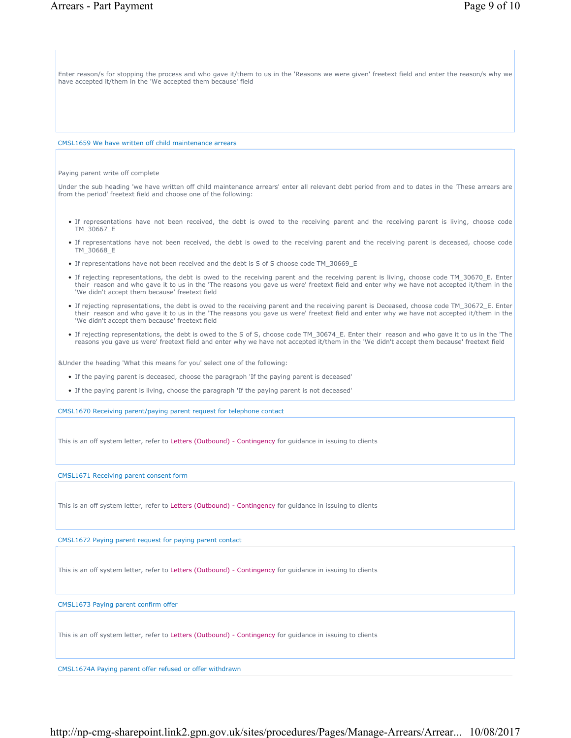Enter reason/s for stopping the process and who gave it/them to us in the 'Reasons we were given' freetext field and enter the reason/s why we have accepted it/them in the 'We accepted them because' field

CMSL1659 We have written off child maintenance arrears

Paying parent write off complete

Under the sub heading 'we have written off child maintenance arrears' enter all relevant debt period from and to dates in the 'These arrears are from the period' freetext field and choose one of the following:

- If representations have not been received, the debt is owed to the receiving parent and the receiving parent is living, choose code TM\_30667\_E
- If representations have not been received, the debt is owed to the receiving parent and the receiving parent is deceased, choose code TM\_30668\_E
- If representations have not been received and the debt is S of S choose code TM\_30669\_E
- If rejecting representations, the debt is owed to the receiving parent and the receiving parent is living, choose code TM\_30670\_E. Enter their reason and who gave it to us in the 'The reasons you gave us were' freetext field and enter why we have not accepted it/them in the 'We didn't accept them because' freetext field
- If rejecting representations, the debt is owed to the receiving parent and the receiving parent is Deceased, choose code TM\_30672\_E. Enter their reason and who gave it to us in the 'The reasons you gave us were' freetext field and enter why we have not accepted it/them in the 'We didn't accept them because' freetext field
- If rejecting representations, the debt is owed to the S of S, choose code TM\_30674\_E. Enter their reason and who gave it to us in the 'The reasons you gave us were' freetext field and enter why we have not accepted it/them in the 'We didn't accept them because' freetext field

&Under the heading 'What this means for you' select one of the following:

- If the paying parent is deceased, choose the paragraph 'If the paying parent is deceased'
- If the paying parent is living, choose the paragraph 'If the paying parent is not deceased'

CMSL1670 Receiving parent/paying parent request for telephone contact

This is an off system letter, refer to Letters (Outbound) - Contingency for guidance in issuing to clients

CMSL1671 Receiving parent consent form

This is an off system letter, refer to Letters (Outbound) - Contingency for guidance in issuing to clients

CMSL1672 Paying parent request for paying parent contact

This is an off system letter, refer to Letters (Outbound) - Contingency for guidance in issuing to clients

CMSL1673 Paying parent confirm offer

This is an off system letter, refer to Letters (Outbound) - Contingency for guidance in issuing to clients

CMSL1674A Paying parent offer refused or offer withdrawn

http://np-cmg-sharepoint.link2.gpn.gov.uk/sites/procedures/Pages/Manage-Arrears/Arrear... 10/08/2017